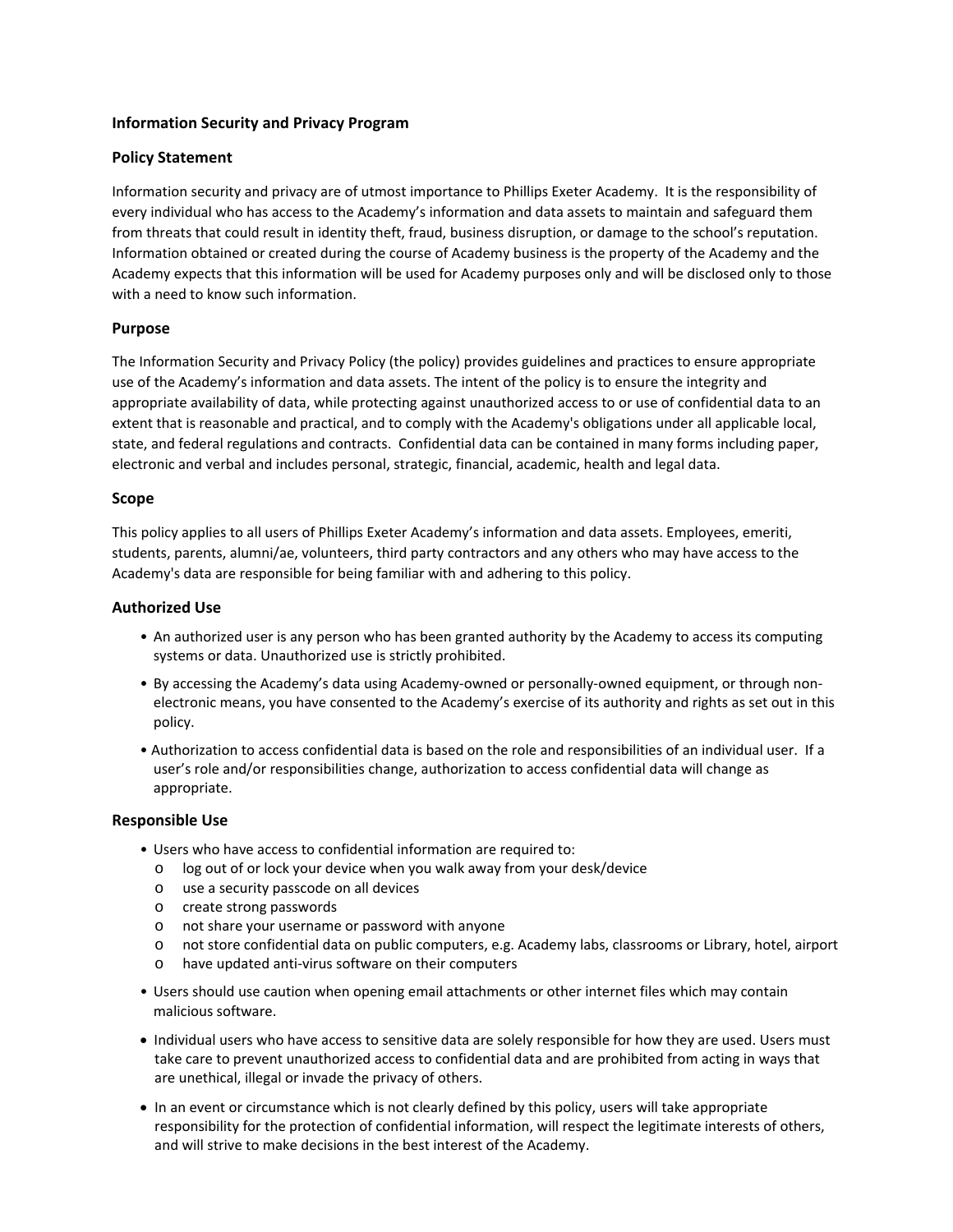#### **Information Security and Privacy Program**

## **Policy Statement**

Information security and privacy are of utmost importance to Phillips Exeter Academy. It is the responsibility of every individual who has access to the Academy's information and data assets to maintain and safeguard them from threats that could result in identity theft, fraud, business disruption, or damage to the school's reputation. Information obtained or created during the course of Academy business is the property of the Academy and the Academy expects that this information will be used for Academy purposes only and will be disclosed only to those with a need to know such information.

## **Purpose**

The Information Security and Privacy Policy (the policy) provides guidelines and practices to ensure appropriate use of the Academy's information and data assets. The intent of the policy is to ensure the integrity and appropriate availability of data, while protecting against unauthorized access to or use of confidential data to an extent that is reasonable and practical, and to comply with the Academy's obligations under all applicable local, state, and federal regulations and contracts. Confidential data can be contained in many forms including paper, electronic and verbal and includes personal, strategic, financial, academic, health and legal data.

## **Scope**

This policy applies to all users of Phillips Exeter Academy's information and data assets. Employees, emeriti, students, parents, alumni/ae, volunteers, third party contractors and any others who may have access to the Academy's data are responsible for being familiar with and adhering to this policy.

## **Authorized Use**

- An authorized user is any person who has been granted authority by the Academy to access its computing systems or data. Unauthorized use is strictly prohibited.
- By accessing the Academy's data using Academy‐owned or personally‐owned equipment, or through non‐ electronic means, you have consented to the Academy's exercise of its authority and rights as set out in this policy.
- Authorization to access confidential data is based on the role and responsibilities of an individual user. If a user's role and/or responsibilities change, authorization to access confidential data will change as appropriate.

#### **Responsible Use**

- Users who have access to confidential information are required to:
	- o log out of or lock your device when you walk away from your desk/device
	- o use a security passcode on all devices
	- o create strong passwords
	- o not share your username or password with anyone
	- o not store confidential data on public computers, e.g. Academy labs, classrooms or Library, hotel, airport
	- o have updated anti‐virus software on their computers
- Users should use caution when opening email attachments or other internet files which may contain malicious software.
- Individual users who have access to sensitive data are solely responsible for how they are used. Users must take care to prevent unauthorized access to confidential data and are prohibited from acting in ways that are unethical, illegal or invade the privacy of others.
- In an event or circumstance which is not clearly defined by this policy, users will take appropriate responsibility for the protection of confidential information, will respect the legitimate interests of others, and will strive to make decisions in the best interest of the Academy.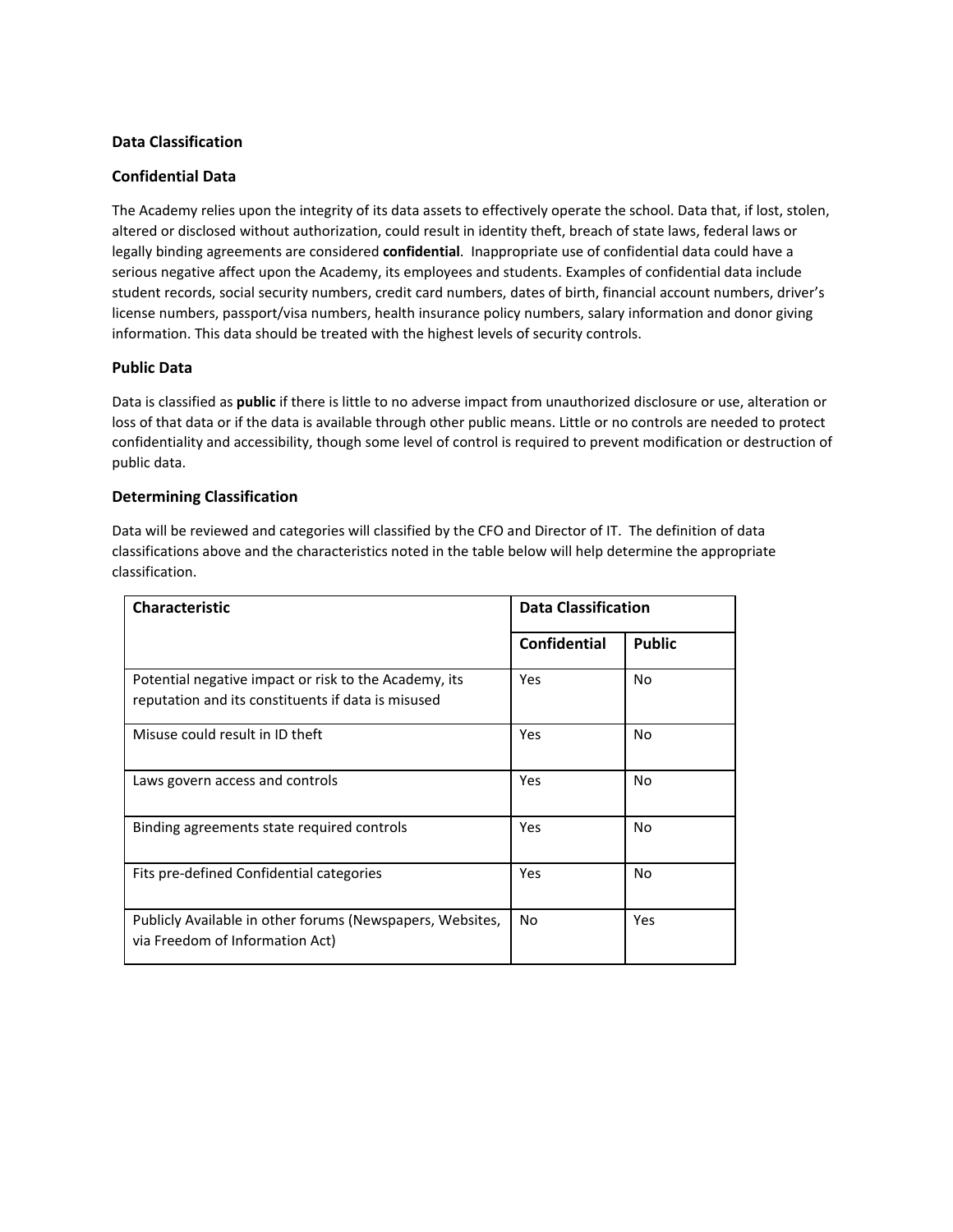## **Data Classification**

## **Confidential Data**

The Academy relies upon the integrity of its data assets to effectively operate the school. Data that, if lost, stolen, altered or disclosed without authorization, could result in identity theft, breach of state laws, federal laws or legally binding agreements are considered **confidential**. Inappropriate use of confidential data could have a serious negative affect upon the Academy, its employees and students. Examples of confidential data include student records, social security numbers, credit card numbers, dates of birth, financial account numbers, driver's license numbers, passport/visa numbers, health insurance policy numbers, salary information and donor giving information. This data should be treated with the highest levels of security controls.

## **Public Data**

Data is classified as **public** if there is little to no adverse impact from unauthorized disclosure or use, alteration or loss of that data or if the data is available through other public means. Little or no controls are needed to protect confidentiality and accessibility, though some level of control is required to prevent modification or destruction of public data.

## **Determining Classification**

Data will be reviewed and categories will classified by the CFO and Director of IT. The definition of data classifications above and the characteristics noted in the table below will help determine the appropriate classification.

| <b>Characteristic</b>                                                                                       | <b>Data Classification</b> |                |
|-------------------------------------------------------------------------------------------------------------|----------------------------|----------------|
|                                                                                                             | Confidential               | <b>Public</b>  |
| Potential negative impact or risk to the Academy, its<br>reputation and its constituents if data is misused | Yes                        | No             |
| Misuse could result in ID theft                                                                             | Yes                        | No             |
| Laws govern access and controls                                                                             | Yes                        | No             |
| Binding agreements state required controls                                                                  | Yes                        | No             |
| Fits pre-defined Confidential categories                                                                    | Yes                        | N <sub>o</sub> |
| Publicly Available in other forums (Newspapers, Websites,<br>via Freedom of Information Act)                | No.                        | Yes            |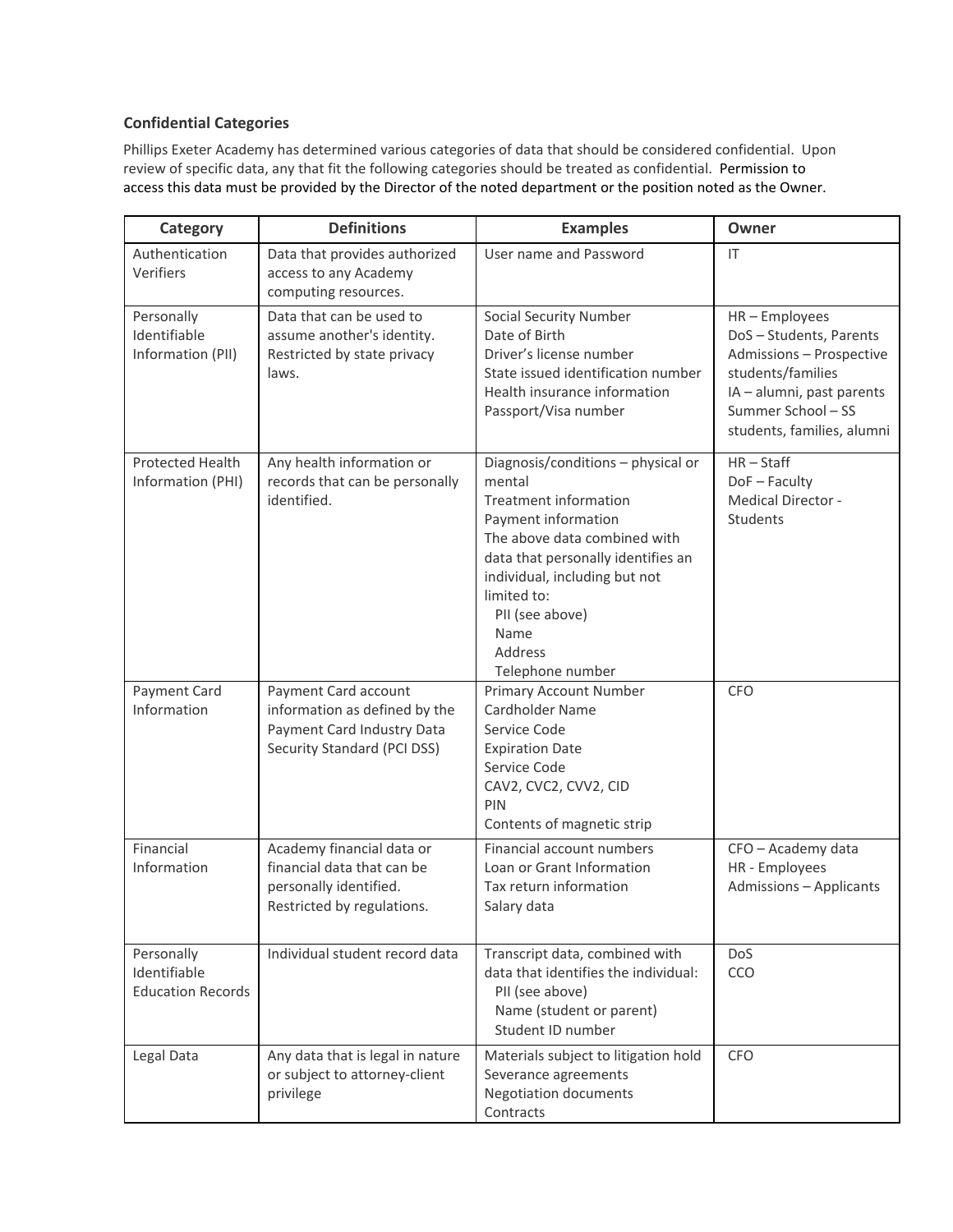# **Confidential Categories**

Phillips Exeter Academy has determined various categories of data that should be considered confidential. Upon review of specific data, any that fit the following categories should be treated as confidential. Permission to access this data must be provided by the Director of the noted department or the position noted as the Owner.

| Category                                               | <b>Definitions</b>                                                                                                 | <b>Examples</b>                                                                                                                                                                                                                                                                     | Owner                                                                                                                                                                   |
|--------------------------------------------------------|--------------------------------------------------------------------------------------------------------------------|-------------------------------------------------------------------------------------------------------------------------------------------------------------------------------------------------------------------------------------------------------------------------------------|-------------------------------------------------------------------------------------------------------------------------------------------------------------------------|
| Authentication<br>Verifiers                            | Data that provides authorized<br>access to any Academy<br>computing resources.                                     | User name and Password                                                                                                                                                                                                                                                              | $\mathsf{I}\mathsf{T}$                                                                                                                                                  |
| Personally<br>Identifiable<br>Information (PII)        | Data that can be used to<br>assume another's identity.<br>Restricted by state privacy<br>laws.                     | <b>Social Security Number</b><br>Date of Birth<br>Driver's license number<br>State issued identification number<br>Health insurance information<br>Passport/Visa number                                                                                                             | HR-Employees<br>DoS-Students, Parents<br>Admissions - Prospective<br>students/families<br>IA - alumni, past parents<br>Summer School - SS<br>students, families, alumni |
| Protected Health<br>Information (PHI)                  | Any health information or<br>records that can be personally<br>identified.                                         | Diagnosis/conditions - physical or<br>mental<br><b>Treatment information</b><br>Payment information<br>The above data combined with<br>data that personally identifies an<br>individual, including but not<br>limited to:<br>PII (see above)<br>Name<br>Address<br>Telephone number | $HR - Staff$<br>DoF-Faculty<br>Medical Director -<br>Students                                                                                                           |
| Payment Card<br>Information                            | Payment Card account<br>information as defined by the<br>Payment Card Industry Data<br>Security Standard (PCI DSS) | <b>Primary Account Number</b><br>Cardholder Name<br>Service Code<br><b>Expiration Date</b><br>Service Code<br>CAV2, CVC2, CVV2, CID<br>PIN<br>Contents of magnetic strip                                                                                                            | <b>CFO</b>                                                                                                                                                              |
| Financial<br>Information                               | Academy financial data or<br>financial data that can be<br>personally identified.<br>Restricted by regulations.    | Financial account numbers<br>Loan or Grant Information<br>Tax return information<br>Salary data                                                                                                                                                                                     | CFO - Academy data<br>HR - Employees<br><b>Admissions - Applicants</b>                                                                                                  |
| Personally<br>Identifiable<br><b>Education Records</b> | Individual student record data                                                                                     | Transcript data, combined with<br>data that identifies the individual:<br>PII (see above)<br>Name (student or parent)<br>Student ID number                                                                                                                                          | DoS<br>CCO                                                                                                                                                              |
| Legal Data                                             | Any data that is legal in nature<br>or subject to attorney-client<br>privilege                                     | Materials subject to litigation hold<br>Severance agreements<br><b>Negotiation documents</b><br>Contracts                                                                                                                                                                           | <b>CFO</b>                                                                                                                                                              |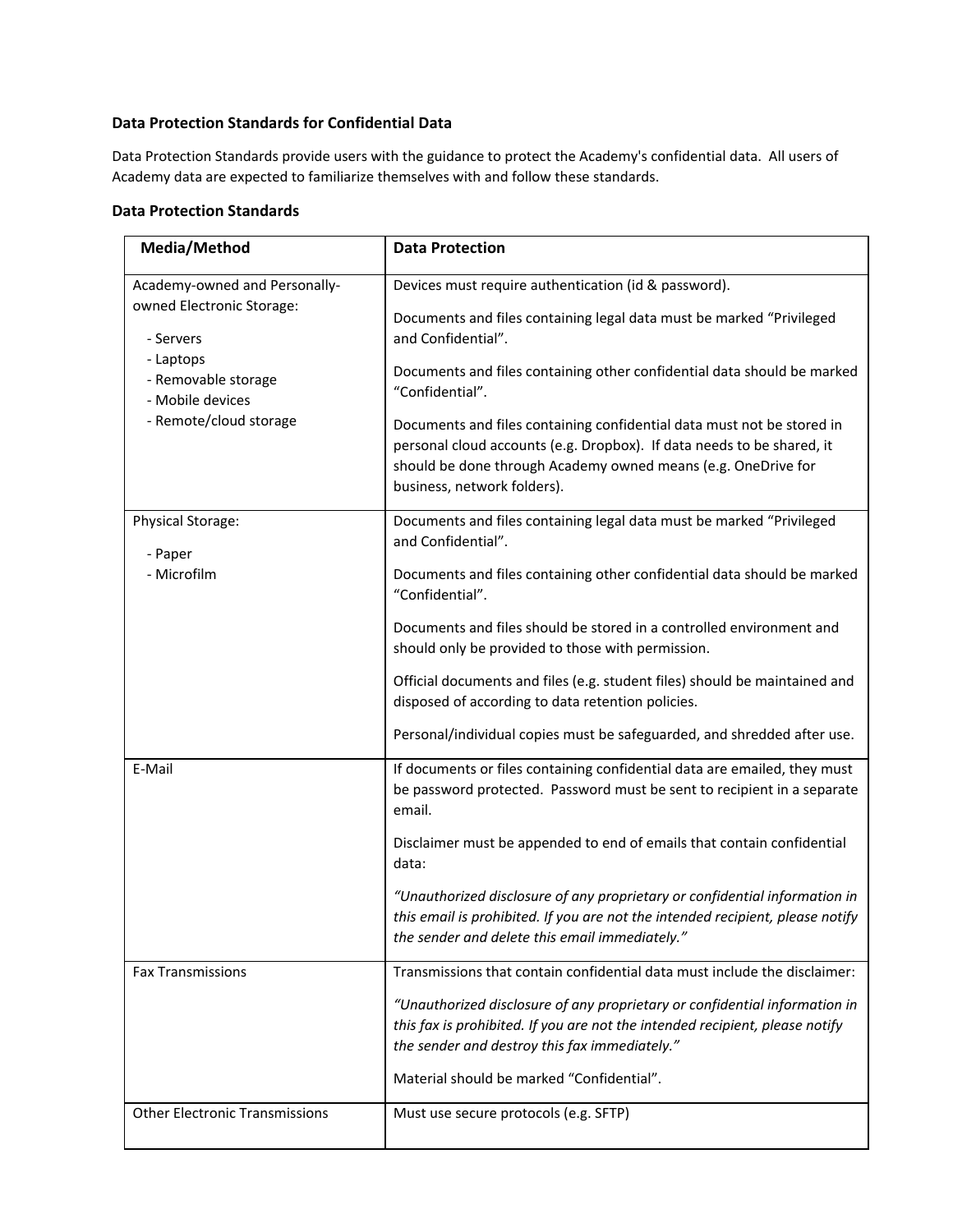# **Data Protection Standards for Confidential Data**

Data Protection Standards provide users with the guidance to protect the Academy's confidential data. All users of Academy data are expected to familiarize themselves with and follow these standards.

#### **Data Protection Standards**

| Media/Method                                                                                                                                              | <b>Data Protection</b>                                                                                                                                                                                                                           |
|-----------------------------------------------------------------------------------------------------------------------------------------------------------|--------------------------------------------------------------------------------------------------------------------------------------------------------------------------------------------------------------------------------------------------|
| Academy-owned and Personally-<br>owned Electronic Storage:<br>- Servers<br>- Laptops<br>- Removable storage<br>- Mobile devices<br>- Remote/cloud storage | Devices must require authentication (id & password).<br>Documents and files containing legal data must be marked "Privileged<br>and Confidential".                                                                                               |
|                                                                                                                                                           | Documents and files containing other confidential data should be marked<br>"Confidential".                                                                                                                                                       |
|                                                                                                                                                           | Documents and files containing confidential data must not be stored in<br>personal cloud accounts (e.g. Dropbox). If data needs to be shared, it<br>should be done through Academy owned means (e.g. OneDrive for<br>business, network folders). |
| Physical Storage:<br>- Paper<br>- Microfilm                                                                                                               | Documents and files containing legal data must be marked "Privileged<br>and Confidential".                                                                                                                                                       |
|                                                                                                                                                           | Documents and files containing other confidential data should be marked<br>"Confidential".                                                                                                                                                       |
|                                                                                                                                                           | Documents and files should be stored in a controlled environment and<br>should only be provided to those with permission.                                                                                                                        |
|                                                                                                                                                           | Official documents and files (e.g. student files) should be maintained and<br>disposed of according to data retention policies.                                                                                                                  |
|                                                                                                                                                           | Personal/individual copies must be safeguarded, and shredded after use.                                                                                                                                                                          |
| E-Mail                                                                                                                                                    | If documents or files containing confidential data are emailed, they must<br>be password protected. Password must be sent to recipient in a separate<br>email.                                                                                   |
|                                                                                                                                                           | Disclaimer must be appended to end of emails that contain confidential<br>data:                                                                                                                                                                  |
|                                                                                                                                                           | "Unauthorized disclosure of any proprietary or confidential information in<br>this email is prohibited. If you are not the intended recipient, please notify<br>the sender and delete this email immediately."                                   |
| <b>Fax Transmissions</b>                                                                                                                                  | Transmissions that contain confidential data must include the disclaimer:                                                                                                                                                                        |
|                                                                                                                                                           | "Unauthorized disclosure of any proprietary or confidential information in<br>this fax is prohibited. If you are not the intended recipient, please notify<br>the sender and destroy this fax immediately."                                      |
|                                                                                                                                                           | Material should be marked "Confidential".                                                                                                                                                                                                        |
| <b>Other Electronic Transmissions</b>                                                                                                                     | Must use secure protocols (e.g. SFTP)                                                                                                                                                                                                            |